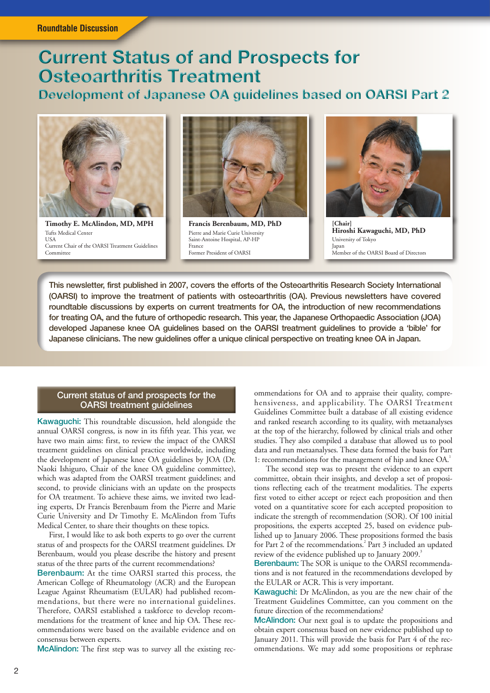# **Current Status of and Prospects for Osteoarthritis Treatment**

## **Development of Japanese OA guidelines based on OARSI Part 2**



**Timothy E. McAlindon, MD, MPH** Tufts Medical Center USA Current Chair of the OARSI Treatment Guidelines Committee



**Francis Berenbaum, MD, PhD** Pierre and Marie Curie University Saint-Antoine Hospital, AP-HP France Former President of OARSI



**[Chair] Hiroshi Kawaguchi, MD, PhD** University of Tokyo Japan Member of the OARSI Board of Directors

This newsletter, first published in 2007, covers the efforts of the Osteoarthritis Research Society International (OARSI) to improve the treatment of patients with osteoarthritis (OA). Previous newsletters have covered roundtable discussions by experts on current treatments for OA, the introduction of new recommendations for treating OA, and the future of orthopedic research. This year, the Japanese Orthopaedic Association (JOA) developed Japanese knee OA guidelines based on the OARSI treatment guidelines to provide a 'bible' for Japanese clinicians. The new guidelines offer a unique clinical perspective on treating knee OA in Japan.

## Current status of and prospects for the OARSI treatment guidelines

Kawaguchi: This roundtable discussion, held alongside the annual OARSI congress, is now in its fifth year. This year, we have two main aims: first, to review the impact of the OARSI treatment guidelines on clinical practice worldwide, including the development of Japanese knee OA guidelines by JOA (Dr. Naoki Ishiguro, Chair of the knee OA guideline committee), which was adapted from the OARSI treatment guidelines; and second, to provide clinicians with an update on the prospects for OA treatment. To achieve these aims, we invited two leading experts, Dr Francis Berenbaum from the Pierre and Marie Curie University and Dr Timothy E. McAlindon from Tufts Medical Center, to share their thoughts on these topics.

First, I would like to ask both experts to go over the current status of and prospects for the OARSI treatment guidelines. Dr Berenbaum, would you please describe the history and present status of the three parts of the current recommendations?

Berenbaum: At the time OARSI started this process, the American College of Rheumatology (ACR) and the European League Against Rheumatism (EULAR) had published recommendations, but there were no international guidelines. Therefore, OARSI established a taskforce to develop recommendations for the treatment of knee and hip OA. These recommendations were based on the available evidence and on consensus between experts.

McAlindon: The first step was to survey all the existing rec-

ommendations for OA and to appraise their quality, comprehensiveness, and applicability. The OARSI Treatment Guidelines Committee built a database of all existing evidence and ranked research according to its quality, with metaanalyses at the top of the hierarchy, followed by clinical trials and other studies. They also compiled a database that allowed us to pool data and run metaanalyses. These data formed the basis for Part 1: recommendations for the management of hip and knee OA.<sup>1</sup>

The second step was to present the evidence to an expert committee, obtain their insights, and develop a set of propositions reflecting each of the treatment modalities. The experts first voted to either accept or reject each proposition and then voted on a quantitative score for each accepted proposition to indicate the strength of recommendation (SOR). Of 100 initial propositions, the experts accepted 25, based on evidence published up to January 2006. These propositions formed the basis for Part 2 of the recommendations.<sup>2</sup> Part 3 included an updated review of the evidence published up to January 2009.<sup>3</sup>

Berenbaum: The SOR is unique to the OARSI recommendations and is not featured in the recommendations developed by the EULAR or ACR. This is very important.

Kawaguchi: Dr McAlindon, as you are the new chair of the Treatment Guidelines Committee, can you comment on the future direction of the recommendations?

McAlindon: Our next goal is to update the propositions and obtain expert consensus based on new evidence published up to January 2011. This will provide the basis for Part 4 of the recommendations. We may add some propositions or rephrase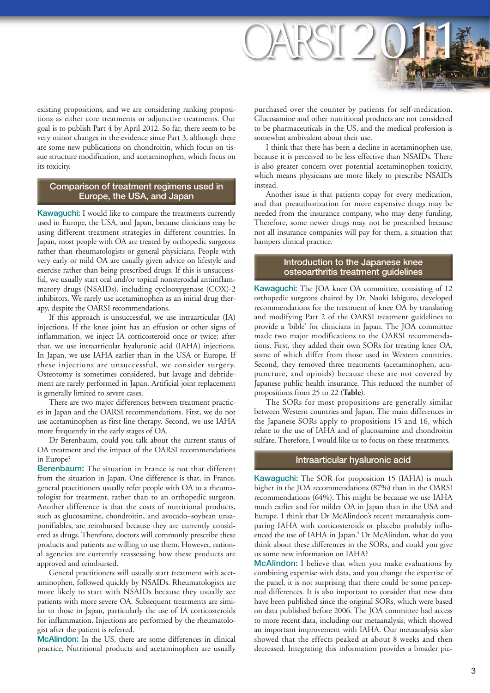

existing propositions, and we are considering ranking propositions as either core treatments or adjunctive treatments. Our goal is to publish Part 4 by April 2012. So far, there seem to be very minor changes in the evidence since Part 3, although there are some new publications on chondroitin, which focus on tissue structure modification, and acetaminophen, which focus on its toxicity.

## Comparison of treatment regimens used in Europe, the USA, and Japan

Kawaguchi: I would like to compare the treatments currently used in Europe, the USA, and Japan, because clinicians may be using different treatment strategies in different countries. In Japan, most people with OA are treated by orthopedic surgeons rather than rheumatologists or general physicians. People with very early or mild OA are usually given advice on lifestyle and exercise rather than being prescribed drugs. If this is unsuccessful, we usually start oral and/or topical nonsteroidal antiinflammatory drugs (NSAIDs), including cyclooxygenase (COX)-2 inhibitors. We rarely use acetaminophen as an initial drug therapy, despite the OARSI recommendations.

If this approach is unsuccessful, we use intraarticular (IA) injections. If the knee joint has an effusion or other signs of inflammation, we inject IA corticosteroid once or twice; after that, we use intraarticular hyaluronic acid (IAHA) injections. In Japan, we use IAHA earlier than in the USA or Europe. If these injections are unsuccessful, we consider surgery. Osteotomy is sometimes considered, but lavage and debridement are rarely performed in Japan. Artificial joint replacement is generally limited to severe cases.

There are two major differences between treatment practices in Japan and the OARSI recommendations. First, we do not use acetaminophen as first-line therapy. Second, we use IAHA more frequently in the early stages of OA.

Dr Berenbaum, could you talk about the current status of OA treatment and the impact of the OARSI recommendations in Europe?

Berenbaum: The situation in France is not that different from the situation in Japan. One difference is that, in France, general practitioners usually refer people with OA to a rheumatologist for treatment, rather than to an orthopedic surgeon. Another difference is that the costs of nutritional products, such as glucosamine, chondroitin, and avocado–soybean unsaponifiables, are reimbursed because they are currently considered as drugs. Therefore, doctors will commonly prescribe these products and patients are willing to use them. However, national agencies are currently reassessing how these products are approved and reimbursed.

General practitioners will usually start treatment with acetaminophen, followed quickly by NSAIDs. Rheumatologists are more likely to start with NSAIDs because they usually see patients with more severe OA. Subsequent treatments are similar to those in Japan, particularly the use of IA corticosteroids for inflammation. Injections are performed by the rheumatologist after the patient is referred.

McAlindon: In the US, there are some differences in clinical practice. Nutritional products and acetaminophen are usually

purchased over the counter by patients for self-medication. Glucosamine and other nutritional products are not considered to be pharmaceuticals in the US, and the medical profession is somewhat ambivalent about their use.

I think that there has been a decline in acetaminophen use, because it is perceived to be less effective than NSAIDs. There is also greater concern over potential acetaminophen toxicity, which means physicians are more likely to prescribe NSAIDs instead.

Another issue is that patients copay for every medication, and that preauthorization for more expensive drugs may be needed from the insurance company, who may deny funding. Therefore, some newer drugs may not be prescribed because not all insurance companies will pay for them, a situation that hampers clinical practice.

## Introduction to the Japanese knee osteoarthritis treatment guidelines

Kawaguchi: The JOA knee OA committee, consisting of 12 orthopedic surgeons chaired by Dr. Naoki Ishiguro, developed recommendations for the treatment of knee OA by translating and modifying Part 2 of the OARSI treatment guidelines to provide a 'bible' for clinicians in Japan. The JOA committee made two major modifications to the OARSI recommendations. First, they added their own SORs for treating knee OA, some of which differ from those used in Western countries. Second, they removed three treatments (acetaminophen, acupuncture, and opioids) because these are not covered by Japanese public health insurance. This reduced the number of propositions from 25 to 22 (**Table**).

The SORs for most propositions are generally similar between Western countries and Japan. The main differences in the Japanese SORs apply to propositions 15 and 16, which relate to the use of IAHA and of glucosamine and chondroitin sulfate. Therefore, I would like us to focus on these treatments.

## Intraarticular hyaluronic acid

Kawaguchi: The SOR for proposition 15 (IAHA) is much higher in the JOA recommendations (87%) than in the OARSI recommendations (64%). This might be because we use IAHA much earlier and for milder OA in Japan than in the USA and Europe. I think that Dr McAlindon's recent metaanalysis comparing IAHA with corticosteroids or placebo probably influenced the use of IAHA in Japan.<sup>4</sup> Dr McAlindon, what do you think about these differences in the SORs, and could you give us some new information on IAHA?

McAlindon: I believe that when you make evaluations by combining expertise with data, and you change the expertise of the panel, it is not surprising that there could be some perceptual differences. It is also important to consider that new data have been published since the original SORs, which were based on data published before 2006. The JOA committee had access to more recent data, including our metaanalysis, which showed an important improvement with IAHA. Our metaanalysis also showed that the effects peaked at about 8 weeks and then decreased. Integrating this information provides a broader pic-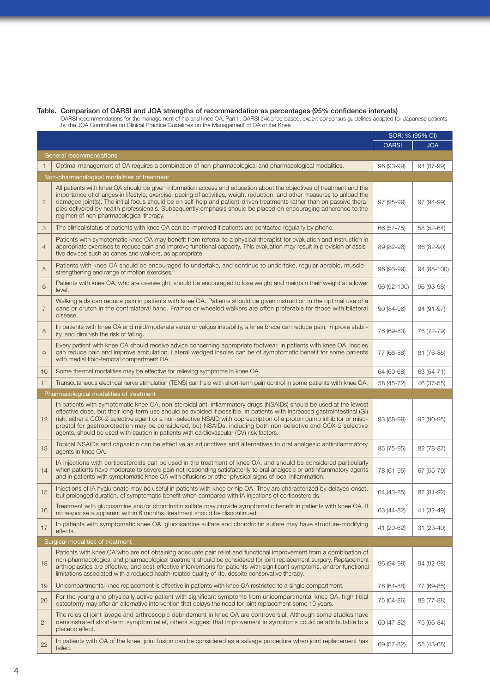#### Table. Comparison of OARSI and JOA strengths of recommendation as percentages (95% confidence intervals)

 OARSI recommendations for the management of hip and knee OA, Part II: OARSI evidence-based, expert consensus guidelines adapted for Japanese patients by the JOA Committee on Clinical Practice Guidelines on the Management of OA of the Knee

|                                         |                                                                                                                                                                                                                                                                                                                                                                                                                                                                                                                                                                                 | SOR: % (95% CI) |             |  |
|-----------------------------------------|---------------------------------------------------------------------------------------------------------------------------------------------------------------------------------------------------------------------------------------------------------------------------------------------------------------------------------------------------------------------------------------------------------------------------------------------------------------------------------------------------------------------------------------------------------------------------------|-----------------|-------------|--|
|                                         |                                                                                                                                                                                                                                                                                                                                                                                                                                                                                                                                                                                 | <b>OARSI</b>    | <b>JOA</b>  |  |
|                                         | General recommendations                                                                                                                                                                                                                                                                                                                                                                                                                                                                                                                                                         |                 |             |  |
|                                         | Optimal management of OA requires a combination of non-pharmacological and pharmacological modalities.                                                                                                                                                                                                                                                                                                                                                                                                                                                                          | 96 (93-99)      | 94 (87-99)  |  |
|                                         | Non-pharmacological modalities of treatment                                                                                                                                                                                                                                                                                                                                                                                                                                                                                                                                     |                 |             |  |
| $\overline{2}$                          | All patients with knee OA should be given information access and education about the objectives of treatment and the<br>importance of changes in lifestyle, exercise, pacing of activities, weight reduction, and other measures to unload the<br>damaged joint(s). The initial focus should be on self-help and patient-driven treatments rather than on passive thera-<br>pies delivered by health professionals. Subsequently emphasis should be placed on encouraging adherence to the<br>regimen of non-pharmacological therapy.                                           | 97 (95-99)      | 97 (94-99)  |  |
| 3                                       | The clinical status of patients with knee OA can be improved if patients are contacted regularly by phone.                                                                                                                                                                                                                                                                                                                                                                                                                                                                      | 66 (57-75)      | 58 (52-64)  |  |
| $\overline{4}$                          | Patients with symptomatic knee OA may benefit from referral to a physical therapist for evaluation and instruction in<br>appropriate exercises to reduce pain and improve functional capacity. This evaluation may result in provision of assis-<br>tive devices such as canes and walkers, as appropriate.                                                                                                                                                                                                                                                                     | 89 (82-96)      | 86 (82-90)  |  |
| 5                                       | Patients with knee OA should be encouraged to undertake, and continue to undertake, regular aerobic, muscle-<br>strengthening and range of motion exercises.                                                                                                                                                                                                                                                                                                                                                                                                                    | 96 (93-99)      | 94 (88-100) |  |
| 6                                       | Patients with knee OA, who are overweight, should be encouraged to lose weight and maintain their weight at a lower<br>level.                                                                                                                                                                                                                                                                                                                                                                                                                                                   | 96 (92-100)     | 96 (93-98)  |  |
| $\overline{7}$                          | Walking aids can reduce pain in patients with knee OA. Patients should be given instruction in the optimal use of a<br>cane or crutch in the contralateral hand. Frames or wheeled walkers are often preferable for those with bilateral<br>disease.                                                                                                                                                                                                                                                                                                                            | 90 (84-96)      | 94 (91-97)  |  |
| 8                                       | In patients with knee OA and mild/moderate varus or valgus instability, a knee brace can reduce pain, improve stabil-<br>ity, and diminish the risk of falling.                                                                                                                                                                                                                                                                                                                                                                                                                 | 76 (69-83)      | 76 (72-79)  |  |
| 9                                       | Every patient with knee OA should receive advice concerning appropriate footwear. In patients with knee OA, insoles<br>can reduce pain and improve ambulation. Lateral wedged insoles can be of symptomatic benefit for some patients<br>with medial tibio-femoral compartment OA.                                                                                                                                                                                                                                                                                              | 77 (66-88)      | 81 (76-85)  |  |
| 10                                      | Some thermal modalities may be effective for relieving symptoms in knee OA.                                                                                                                                                                                                                                                                                                                                                                                                                                                                                                     | 64 (60-68)      | 63 (54-71)  |  |
| 11                                      | Transcutaneous electrical nerve stimulation (TENS) can help with short-term pain control in some patients with knee OA.                                                                                                                                                                                                                                                                                                                                                                                                                                                         | 58 (45-72)      | 46 (37-55)  |  |
| Pharmacological modalities of treatment |                                                                                                                                                                                                                                                                                                                                                                                                                                                                                                                                                                                 |                 |             |  |
| 12                                      | In patients with symptomatic knee OA, non-steroidal anti-inflammatory drugs (NSAIDs) should be used at the lowest<br>effective dose, but their long-term use should be avoided if possible. In patients with increased gastrointestinal (GI)<br>risk, either a COX-2 selective agent or a non-selective NSAID with coprescription of a proton pump inhibitor or miso-<br>prostol for gastroprotection may be considered, but NSAIDs, including both non-selective and COX-2 selective<br>agents, should be used with caution in patients with cardiovascular (CV) risk factors. | 93 (88-99)      | 92 (90-95)  |  |
| 13                                      | Topical NSAIDs and capsaicin can be effective as adjunctives and alternatives to oral analgesic antiinflammatory<br>agents in knee OA.                                                                                                                                                                                                                                                                                                                                                                                                                                          | 85 (75-95)      | 82 (78-87)  |  |
| 14                                      | IA injections with corticosteroids can be used in the treatment of knee OA, and should be considered particularly<br>when patients have moderate to severe pain not responding satisfactorily to oral analgesic or antiinflammatory agents<br>and in patients with symptomatic knee OA with effusions or other physical signs of local inflammation.                                                                                                                                                                                                                            | 78 (61-95)      | 67 (55-79)  |  |
| 15                                      | Injections of IA hyaluronate may be useful in patients with knee or hip OA. They are characterized by delayed onset,<br>but prolonged duration, of symptomatic benefit when compared with IA injections of corticosteroids.                                                                                                                                                                                                                                                                                                                                                     | 64 (43-85)      | 87 (81-92)  |  |
| 16                                      | Treatment with glucosamine and/or chondroitin sulfate may provide symptomatic benefit in patients with knee OA. If<br>no response is apparent within 6 months, treatment should be discontinued.                                                                                                                                                                                                                                                                                                                                                                                | 63 (44-82)      | 41 (32-49)  |  |
| 17                                      | In patients with symptomatic knee OA, glucosamine sulfate and chondroitin sulfate may have structure-modifying<br>effects.                                                                                                                                                                                                                                                                                                                                                                                                                                                      | 41 (20-62)      | 31 (23-40)  |  |
|                                         | Surgical modalities of treatment                                                                                                                                                                                                                                                                                                                                                                                                                                                                                                                                                |                 |             |  |
| 18                                      | Patients with knee OA who are not obtaining adequate pain relief and functional improvement from a combination of<br>non-pharmacological and pharmacological treatment should be considered for joint replacement surgery. Replacement<br>arthroplasties are effective, and cost-effective interventions for patients with significant symptoms, and/or functional<br>limitations associated with a reduced health-related quality of life, despite conservative therapy.                                                                                                       | 96 (94-98)      | 94 (92-98)  |  |
| 19                                      | Unicompartmental knee replacement is effective in patients with knee OA restricted to a single compartment.                                                                                                                                                                                                                                                                                                                                                                                                                                                                     | 76 (64-88)      | 77 (69-85)  |  |
| 20                                      | For the young and physically active patient with significant symptoms from unicompartmental knee OA, high tibial<br>osteotomy may offer an alternative intervention that delays the need for joint replacement some 10 years.                                                                                                                                                                                                                                                                                                                                                   | 75 (64-86)      | 83 (77-88)  |  |
| 21                                      | The roles of joint lavage and arthroscopic debridement in knee OA are controversial. Although some studies have<br>demonstrated short-term symptom relief, others suggest that improvement in symptoms could be attributable to a<br>placebo effect.                                                                                                                                                                                                                                                                                                                            | 60 (47-82)      | 75 (66-84)  |  |
| 22                                      | In patients with OA of the knee, joint fusion can be considered as a salvage procedure when joint replacement has<br>failed.                                                                                                                                                                                                                                                                                                                                                                                                                                                    | 69 (57-82)      | 55 (43-68)  |  |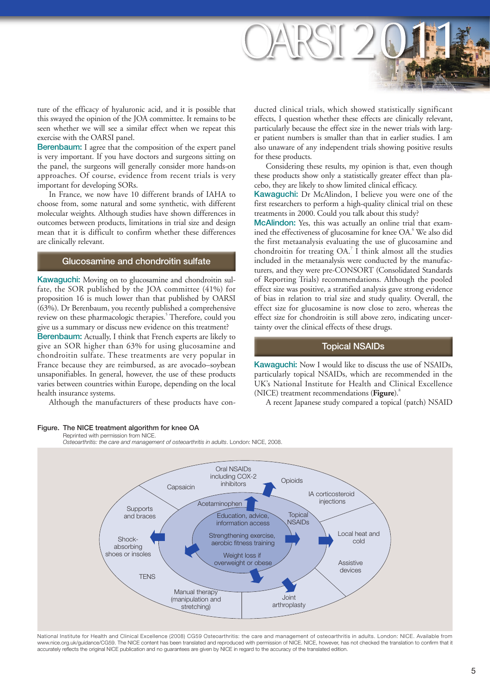

ture of the efficacy of hyaluronic acid, and it is possible that this swayed the opinion of the JOA committee. It remains to be seen whether we will see a similar effect when we repeat this exercise with the OARSI panel.

Berenbaum: I agree that the composition of the expert panel is very important. If you have doctors and surgeons sitting on the panel, the surgeons will generally consider more hands-on approaches. Of course, evidence from recent trials is very important for developing SORs.

In France, we now have 10 different brands of IAHA to choose from, some natural and some synthetic, with different molecular weights. Although studies have shown differences in outcomes between products, limitations in trial size and design mean that it is difficult to confirm whether these differences are clinically relevant.

## Glucosamine and chondroitin sulfate

Kawaguchi: Moving on to glucosamine and chondroitin sulfate, the SOR published by the JOA committee (41%) for proposition 16 is much lower than that published by OARSI (63%). Dr Berenbaum, you recently published a comprehensive review on these pharmacologic therapies.<sup>5</sup> Therefore, could you give us a summary or discuss new evidence on this treatment?

Berenbaum: Actually, I think that French experts are likely to give an SOR higher than 63% for using glucosamine and chondroitin sulfate. These treatments are very popular in France because they are reimbursed, as are avocado–soybean unsaponifiables. In general, however, the use of these products varies between countries within Europe, depending on the local health insurance systems.

Although the manufacturers of these products have con-

#### Figure. The NICE treatment algorithm for knee OA

Reprinted with permission from NICE.

 *Osteoarthritis: the care and management of osteoarthritis in adults*. London: NICE, 2008.



National Institute for Health and Clinical Excellence (2008) CG59 Osteoarthritis: the care and management of osteoarthritis in adults. London: NICE. Available from www.nice.org.uk/guidance/CG59. The NICE content has been translated and reproduced with permission of NICE. NICE, however, has not checked the translation to confirm that it accurately reflects the original NICE publication and no guarantees are given by NICE in regard to the accuracy of the translated edition.

ducted clinical trials, which showed statistically significant effects, I question whether these effects are clinically relevant, particularly because the effect size in the newer trials with larger patient numbers is smaller than that in earlier studies. I am also unaware of any independent trials showing positive results for these products.

Considering these results, my opinion is that, even though these products show only a statistically greater effect than placebo, they are likely to show limited clinical efficacy.

Kawaguchi: Dr McAlindon, I believe you were one of the first researchers to perform a high-quality clinical trial on these treatments in 2000. Could you talk about this study?

McAlindon: Yes, this was actually an online trial that examined the effectiveness of glucosamine for knee OA.<sup>6</sup> We also did the first metaanalysis evaluating the use of glucosamine and chondroitin for treating  $OA<sup>7</sup>$  I think almost all the studies included in the metaanalysis were conducted by the manufacturers, and they were pre-CONSORT (Consolidated Standards of Reporting Trials) recommendations. Although the pooled effect size was positive, a stratified analysis gave strong evidence of bias in relation to trial size and study quality. Overall, the effect size for glucosamine is now close to zero, whereas the effect size for chondroitin is still above zero, indicating uncertainty over the clinical effects of these drugs.

## Topical NSAIDs

Kawaguchi: Now I would like to discuss the use of NSAIDs, particularly topical NSAIDs, which are recommended in the UK's National Institute for Health and Clinical Excellence (NICE) treatment recommendations (Figure).<sup>8</sup>

A recent Japanese study compared a topical (patch) NSAID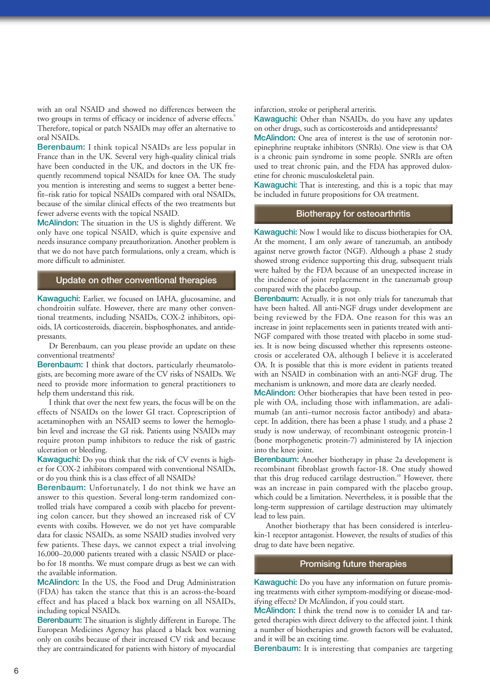with an oral NSAID and showed no differences between the two groups in terms of efficacy or incidence of adverse effects.<sup>9</sup> Therefore, topical or patch NSAIDs may offer an alternative to oral NSAIDs.

Berenbaum: I think topical NSAIDs are less popular in France than in the UK. Several very high-quality clinical trials have been conducted in the UK, and doctors in the UK frequently recommend topical NSAIDs for knee OA. The study you mention is interesting and seems to suggest a better benefit–risk ratio for topical NSAIDs compared with oral NSAIDs, because of the similar clinical effects of the two treatments but fewer adverse events with the topical NSAID.

McAlindon: The situation in the US is slightly different. We only have one topical NSAID, which is quite expensive and needs insurance company preauthorization. Another problem is that we do not have patch formulations, only a cream, which is more difficult to administer.

## Update on other conventional therapies

Kawaguchi: Earlier, we focused on IAHA, glucosamine, and chondroitin sulfate. However, there are many other conventional treatments, including NSAIDs, COX-2 inhibitors, opioids, IA corticosteroids, diacerein, bisphosphonates, and antidepressants.

Dr Berenbaum, can you please provide an update on these conventional treatments?

Berenbaum: I think that doctors, particularly rheumatologists, are becoming more aware of the CV risks of NSAIDs. We need to provide more information to general practitioners to help them understand this risk.

I think that over the next few years, the focus will be on the effects of NSAIDs on the lower GI tract. Coprescription of acetaminophen with an NSAID seems to lower the hemoglobin level and increase the GI risk. Patients using NSAIDs may require proton pump inhibitors to reduce the risk of gastric ulceration or bleeding.

Kawaguchi: Do you think that the risk of CV events is higher for COX-2 inhibitors compared with conventional NSAIDs, or do you think this is a class effect of all NSAIDs?

Berenbaum: Unfortunately, I do not think we have an answer to this question. Several long-term randomized controlled trials have compared a coxib with placebo for preventing colon cancer, but they showed an increased risk of CV events with coxibs. However, we do not yet have comparable data for classic NSAIDs, as some NSAID studies involved very few patients. These days, we cannot expect a trial involving 16,000–20,000 patients treated with a classic NSAID or placebo for 18 months. We must compare drugs as best we can with the available information.

McAlindon: In the US, the Food and Drug Administration (FDA) has taken the stance that this is an across-the-board effect and has placed a black box warning on all NSAIDs, including topical NSAIDs.

Berenbaum: The situation is slightly different in Europe. The European Medicines Agency has placed a black box warning only on coxibs because of their increased CV risk and because they are contraindicated for patients with history of myocardial

infarction, stroke or peripheral arteritis.

Kawaguchi: Other than NSAIDs, do you have any updates on other drugs, such as corticosteroids and antidepressants?

McAlindon: One area of interest is the use of serotonin norepinephrine reuptake inhibitors (SNRIs). One view is that OA is a chronic pain syndrome in some people. SNRIs are often used to treat chronic pain, and the FDA has approved duloxetine for chronic musculoskeletal pain.

Kawaguchi: That is interesting, and this is a topic that may be included in future propositions for OA treatment.

### Biotherapy for osteoarthritis

Kawaguchi: Now I would like to discuss biotherapies for OA. At the moment, I am only aware of tanezumab, an antibody against nerve growth factor (NGF). Although a phase 2 study showed strong evidence supporting this drug, subsequent trials were halted by the FDA because of an unexpected increase in the incidence of joint replacement in the tanezumab group compared with the placebo group.

Berenbaum: Actually, it is not only trials for tanezumab that have been halted. All anti-NGF drugs under development are being reviewed by the FDA. One reason for this was an increase in joint replacements seen in patients treated with anti-NGF compared with those treated with placebo in some studies. It is now being discussed whether this represents osteonecrosis or accelerated OA, although I believe it is accelerated OA. It is possible that this is more evident in patients treated with an NSAID in combination with an anti-NGF drug. The mechanism is unknown, and more data are clearly needed.

McAlindon: Other biotherapies that have been tested in people with OA, including those with inflammation, are adalimumab (an anti–tumor necrosis factor antibody) and abatacept. In addition, there has been a phase 1 study, and a phase 2 study is now underway, of recombinant osteogenic protein-1 (bone morphogenetic protein-7) administered by IA injection into the knee joint.

Berenbaum: Another biotherapy in phase 2a development is recombinant fibroblast growth factor-18. One study showed that this drug reduced cartilage destruction.<sup>10</sup> However, there was an increase in pain compared with the placebo group, which could be a limitation. Nevertheless, it is possible that the long-term suppression of cartilage destruction may ultimately lead to less pain.

Another biotherapy that has been considered is interleukin-1 receptor antagonist. However, the results of studies of this drug to date have been negative.

## Promising future therapies

Kawaguchi: Do you have any information on future promising treatments with either symptom-modifying or disease-modifying effects? Dr McAlindon, if you could start.

McAlindon: I think the trend now is to consider IA and targeted therapies with direct delivery to the affected joint. I think a number of biotherapies and growth factors will be evaluated, and it will be an exciting time.

Berenbaum: It is interesting that companies are targeting